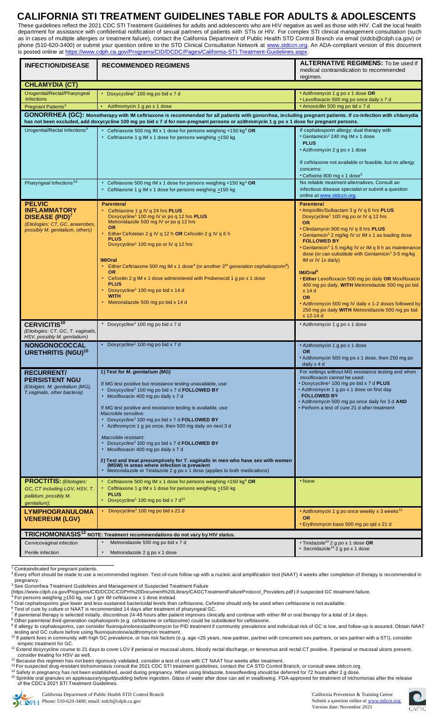## **CALIFORNIA STI TREATMENT GUIDELINES TABLE FOR ADULTS & ADOLESCENTS**

These guidelines reflect the 2021 CDC STI Treatment Guidelines for adults and adolescents who are HIV negative as well as those with HIV. Call the local health department for assistance with confidential notification of sexual partners of patients with STIs or HIV. For complex STI clinical management consultation (such as in cases of multiple allergies or treatment failure), contact the California Department of Public Health STD Control Branch via email (stdcb@cdph.ca.gov) or phone (510-620-3400) or submit your question online to the STD Clinical Consultation Network at [www.stdccn.org.](https://www.stdccn.org/render/Public) An ADA-compliant version of this document is posted online at [https://www.cdph.ca.gov/Programs/CID/DCDC/Pages/California-STI-Treatment-Guidelines.aspx.](https://www.cdph.ca.gov/Programs/CID/DCDC/Pages/California-STI-Treatment-Guidelines.aspx)

| <b>INFECTION/DISEASE</b>                                                                                                                                                                                                                                                                                 | <b>RECOMMENDED REGIMENS</b>                                                                                                                                                                                                                                                                                                                                                                                                                                                                                                                                                                                                                                                                                                                                                                                                                                                                                                                        | <b>ALTERNATIVE REGIMENS:</b> To be used if<br>medical contraindication to recommended<br>regimen.                                                                                                                                                                                                                                                                                                                                                                                                                                                                                                                                                                                                                                  |  |
|----------------------------------------------------------------------------------------------------------------------------------------------------------------------------------------------------------------------------------------------------------------------------------------------------------|----------------------------------------------------------------------------------------------------------------------------------------------------------------------------------------------------------------------------------------------------------------------------------------------------------------------------------------------------------------------------------------------------------------------------------------------------------------------------------------------------------------------------------------------------------------------------------------------------------------------------------------------------------------------------------------------------------------------------------------------------------------------------------------------------------------------------------------------------------------------------------------------------------------------------------------------------|------------------------------------------------------------------------------------------------------------------------------------------------------------------------------------------------------------------------------------------------------------------------------------------------------------------------------------------------------------------------------------------------------------------------------------------------------------------------------------------------------------------------------------------------------------------------------------------------------------------------------------------------------------------------------------------------------------------------------------|--|
| <b>CHLAMYDIA (CT)</b>                                                                                                                                                                                                                                                                                    |                                                                                                                                                                                                                                                                                                                                                                                                                                                                                                                                                                                                                                                                                                                                                                                                                                                                                                                                                    |                                                                                                                                                                                                                                                                                                                                                                                                                                                                                                                                                                                                                                                                                                                                    |  |
| Urogenital/Rectal/Pharyngeal<br><b>Infections</b>                                                                                                                                                                                                                                                        | • Doxycycline <sup>1</sup> 100 mg po bid x 7 d                                                                                                                                                                                                                                                                                                                                                                                                                                                                                                                                                                                                                                                                                                                                                                                                                                                                                                     | . Azithromycin 1 g po x 1 dose OR<br>• Levofloxacin 500 mg po once daily x 7 d                                                                                                                                                                                                                                                                                                                                                                                                                                                                                                                                                                                                                                                     |  |
| Pregnant Patients <sup>2</sup>                                                                                                                                                                                                                                                                           | Azithromycin 1 g po x 1 dose                                                                                                                                                                                                                                                                                                                                                                                                                                                                                                                                                                                                                                                                                                                                                                                                                                                                                                                       | · Amoxicillin 500 mg po tid x 7 d                                                                                                                                                                                                                                                                                                                                                                                                                                                                                                                                                                                                                                                                                                  |  |
| GONORRHEA (GC): Monotherapy with IM ceftriaxone is recommended for all patients with gonorrhea, including pregnant patients. If co-infection with chlamydia<br>has not been excluded, add doxycycline 100 mg po bid x 7 d for non-pregnant persons or azithromycin 1 g po x 1 dose for pregnant persons. |                                                                                                                                                                                                                                                                                                                                                                                                                                                                                                                                                                                                                                                                                                                                                                                                                                                                                                                                                    |                                                                                                                                                                                                                                                                                                                                                                                                                                                                                                                                                                                                                                                                                                                                    |  |
| Urogenital/Rectal Infections <sup>3</sup>                                                                                                                                                                                                                                                                | Ceftriaxone 500 mg IM x 1 dose for persons weighing <150 kg <sup>4</sup> OR<br>• Ceftriaxone 1 g IM x 1 dose for persons weighing >150 kg                                                                                                                                                                                                                                                                                                                                                                                                                                                                                                                                                                                                                                                                                                                                                                                                          | If cephalosporin allergy: dual therapy with<br>• Gentamicin <sup>1</sup> 240 mg IM x 1 dose<br><b>PLUS</b><br>• Azithromycin 2 g po x 1 dose<br>If ceftriaxone not available or feasible, but no allergy<br>concerns:                                                                                                                                                                                                                                                                                                                                                                                                                                                                                                              |  |
| Pharyngeal Infections <sup>3,6</sup>                                                                                                                                                                                                                                                                     | Ceftriaxone 500 mg IM x 1 dose for persons weighing <150 kg <sup>4</sup> OR<br>• Ceftriaxone 1 g IM x 1 dose for persons weighing >150 kg                                                                                                                                                                                                                                                                                                                                                                                                                                                                                                                                                                                                                                                                                                                                                                                                          | • Cefixime 800 mg x 1 dose <sup>5</sup><br>No reliable treatment alternatives. Consult an<br>infectious disease specialist or submit a question<br>online at www.stdccn.org.                                                                                                                                                                                                                                                                                                                                                                                                                                                                                                                                                       |  |
| <b>PELVIC</b><br><b>INFLAMMATORY</b><br><b>DISEASE (PID)<sup>7</sup></b><br>(Etiologies: CT, GC, anaerobes,<br>possibly M. genitalium, others)                                                                                                                                                           | <b>Parenteral</b><br>• Ceftriaxone 1 g IV q 24 hrs PLUS<br>Doxycycline <sup>1</sup> 100 mg IV or po q 12 hrs <b>PLUS</b><br>Metronidazole 500 mg IV or po q 12 hrs<br><b>OR</b><br>Either Cefotetan 2 g IV q 12 h OR Cefoxitin 2 g IV q 6 h<br><b>PLUS</b><br>Doxycycline <sup>1</sup> 100 mg po or IV q 12 hrs<br><b>IM/Oral</b><br>• Either Ceftriaxone 500 mg IM x 1 dose <sup>4</sup> (or another 3 <sup>rd</sup> generation cephalosporin <sup>8</sup> )<br><b>OR</b><br>Cefoxitin 2 g IM x 1 dose administered with Probenecid 1 g po x 1 dose<br><b>PLUS</b><br>Doxycycline <sup>1</sup> 100 mg po bid x 14 d<br><b>WITH</b><br>Metronidazole 500 mg po bid x 14 d                                                                                                                                                                                                                                                                          | <b>Parenteral</b><br>• Ampicillin/Sulbactam 3 g IV q 6 hrs PLUS<br>Doxycycline <sup>1</sup> 100 mg po or IV q 12 hrs<br><b>OR</b><br>• Clindamycin 900 mg IV q 8 hrs PLUS<br>• Gentamicin <sup>1</sup> 2 mg/kg IV or IM x 1 as loading dose<br><b>FOLLOWED BY</b><br>• Gentamicin <sup>1</sup> 1.5 mg/kg IV or IM q 8 h as maintenance<br>dose (or can substitute with Gentamicin <sup>1</sup> 3-5 mg/kg<br>IM or IV 1x daily)<br>$IM/O$ ral <sup>9</sup><br><b>Either Levofloxacin 500 mg po daily OR Moxifloxacin</b><br>400 mg po daily, WITH Metronidazole 500 mg po bid<br>$x$ 14 $d$<br><b>OR</b><br>. Azithromycin 500 mg IV daily x 1-2 doses followed by<br>250 mg po daily WITH Metronidazole 500 mg po bid<br>x 12-14 d |  |
| <b>CERVICITIS<sup>10</sup></b><br>(Etiologies: CT, GC, T. vaginalis,<br>HSV, possibly M. genitalium)                                                                                                                                                                                                     | • Doxycycline <sup>1</sup> 100 mg po bid x 7 d                                                                                                                                                                                                                                                                                                                                                                                                                                                                                                                                                                                                                                                                                                                                                                                                                                                                                                     | • Azithromycin 1 g po x 1 dose                                                                                                                                                                                                                                                                                                                                                                                                                                                                                                                                                                                                                                                                                                     |  |
| <b>NONGONOCOCCAL</b><br><b>URETHRITIS (NGU)<sup>10</sup></b>                                                                                                                                                                                                                                             | • Doxycycline <sup>1</sup> 100 mg po bid x 7 d                                                                                                                                                                                                                                                                                                                                                                                                                                                                                                                                                                                                                                                                                                                                                                                                                                                                                                     | • Azithromycin 1 g po x 1 dose<br><b>OR</b><br>• Azithromycin 500 mg po x 1 dose, then 250 mg po<br>daily x 4 d                                                                                                                                                                                                                                                                                                                                                                                                                                                                                                                                                                                                                    |  |
| <b>RECURRENT/</b><br><b>PERSISTENT NGU</b><br>(Etiolgies: M. genitalium (MG),<br>T. vaginalis, other bacteria)<br><b>PROCTITIS: (Etiologies:</b><br>GC, CT including LGV, HSV, T.                                                                                                                        | 1) Test for M. genitalium (MG)<br>If MG test positive but resistance testing unavailable, use:<br>Doxycycline <sup>1</sup> 100 mg po bid x 7 d <b>FOLLOWED BY</b><br>• Moxifloxacin 400 mg po daily x 7 d<br>If MG test positive and resistance testing is available, use:<br>Macrolide sensitive:<br>Doxycycline <sup>1</sup> 100 mg po bid x 7 d <b>FOLLOWED BY</b><br>• Azithromycin 1 g po once, then 500 mg daily on next 3 d<br>Macrolide resistant:<br>Doxycycline <sup>1</sup> 100 mg po bid x 7 d <b>FOLLOWED BY</b><br>• Moxifloxacin 400 mg po daily x 7 d<br>2) Test and treat presumptively for T. vaginalis in men who have sex with women<br>(MSW) in areas where infection is prevalent<br>Metronidazole or Tinidazole 2 g po x 1 dose (applies to both medications)<br>• Ceftriaxone 500 mg IM x 1 dose for persons weighing <150 kg <sup>4</sup> OR<br>• Ceftriaxone 1 g IM x 1 dose for persons weighing >150 kg<br><b>PLUS</b> | For settings without MG resistance testing and when<br>moxifloxacin cannot be used:<br>• Doxycycline <sup>1</sup> 100 mg po bid x 7 d <b>PLUS</b><br>· Azithromycin 1 g po x 1 dose on first day<br><b>FOLLOWED BY</b><br>. Azithromycin 500 mg po once daily for 3 d AND<br>• Perform a test of cure 21 d after treatment<br>• None                                                                                                                                                                                                                                                                                                                                                                                               |  |
| pallidum, possibly M.<br>genitalium);<br><b>LYMPHOGRANULOMA</b>                                                                                                                                                                                                                                          | • Doxycycline <sup>1</sup> 100 mg po bid x 7 d <sup>11</sup><br>• Doxycycline <sup>1</sup> 100 mg po bid x 21 d                                                                                                                                                                                                                                                                                                                                                                                                                                                                                                                                                                                                                                                                                                                                                                                                                                    | • Azithromycin 1 g po once weekly x 3 weeks <sup>12</sup>                                                                                                                                                                                                                                                                                                                                                                                                                                                                                                                                                                                                                                                                          |  |
| <b>VENEREUM (LGV)</b>                                                                                                                                                                                                                                                                                    |                                                                                                                                                                                                                                                                                                                                                                                                                                                                                                                                                                                                                                                                                                                                                                                                                                                                                                                                                    | <b>OR</b><br>• Erythromycin base 500 mg po qid x 21 d                                                                                                                                                                                                                                                                                                                                                                                                                                                                                                                                                                                                                                                                              |  |
|                                                                                                                                                                                                                                                                                                          | TRICHOMONIASIS <sup>13</sup> NOTE: Treatment recommendations do not vary by HIV status.                                                                                                                                                                                                                                                                                                                                                                                                                                                                                                                                                                                                                                                                                                                                                                                                                                                            |                                                                                                                                                                                                                                                                                                                                                                                                                                                                                                                                                                                                                                                                                                                                    |  |
| Cervicovaginal infection                                                                                                                                                                                                                                                                                 | Metronidazole 500 mg po bid x 7 d                                                                                                                                                                                                                                                                                                                                                                                                                                                                                                                                                                                                                                                                                                                                                                                                                                                                                                                  | • Tinidazole <sup>14</sup> 2 g po x 1 dose OR<br>• Secnidazole <sup>15</sup> 2 g po x 1 dose                                                                                                                                                                                                                                                                                                                                                                                                                                                                                                                                                                                                                                       |  |
| Penile infection                                                                                                                                                                                                                                                                                         | Metronidazole 2 g po x 1 dose                                                                                                                                                                                                                                                                                                                                                                                                                                                                                                                                                                                                                                                                                                                                                                                                                                                                                                                      |                                                                                                                                                                                                                                                                                                                                                                                                                                                                                                                                                                                                                                                                                                                                    |  |

<sup>1</sup> Contraindicated for pregnant patients.

 $^2$  Every effort should be made to use a recommended regimen. Test-of-cure follow-up with a nucleic acid amplification test (NAAT) 4 weeks after completion of therapy is recommended in pregnancy.<br><sup>3</sup> See [Gonorrhea Treatment Guidelines and Management of Suspected Treatment Failure](file:///C:/Users/kjohnso3/Desktop/Gonorrhea%20Treatment%20Guidelines%20and%20Management%20of%20Suspected%20Treatment%20Failure)

[\(https://www.cdph.ca.gov/Programs/CID/DCDC/CDPH%20Document%20Library/CAGCTreatmentFailureProtocol\\_Providers.pdf\)](https://www.cdph.ca.gov/Programs/CID/DCDC/CDPH%20Document%20Library/CAGCTreatmentFailureProtocol_Providers.pdf) if suspected GC treatment failure.<br><sup>4</sup> For persons weighing <u>></u>150 kg, use 1 gm IM ceftriaxone x 1 dose inst

 $^5$  Oral cephalosporins give lower and less-sustained bactericidal levels than ceftriaxone. Cefixime should only be used when ceftriaxone is not available.

<sup>6</sup> Test of cure by culture or NAAT is recommended 14 days after treatment of pharyngeal GC.<br><sup>7</sup> If parenteral therapy is selected initially, discontinue 24-48 hours after patient improves clinically and continue with eith

testing and GC culture before using fluoroquinolone/azithromycin treatment.<br><sup>10</sup> If patient lives in community with high GC prevalence, or has risk factors (e.g. age <25 years, new partner, partner with concurrent sex par empiric treatment for GC.

11 Extend doxycycline course to 21 days to cover LGV if perianal or mucosal ulcers, bloody rectal discharge, or tenesmus and rectal CT positive. If perianal or mucosal ulcers present, consider treating for HSV as well.<br><sup>12</sup> Because this regimen has not been rigorously validated, consider a test of cure with CT NAAT four weeks after treatment.

<sup>13</sup> For suspected drug-resistant trichomoniasis consult the 2021 CDC STI treatment guidelines, contact the CA STD Control Branch, or consult [www.stdccn.org.](https://www.stdccn.org/render/Public) 

<sup>14</sup> Safety in pregnancy has not been established, avoid during pregnancy. When using tinidazole, breastfeeding should be deferred for 72 hours after 2 g dose.<br><sup>15</sup> Sprinkle oral granules on applesauce/yogurt/pudding befor